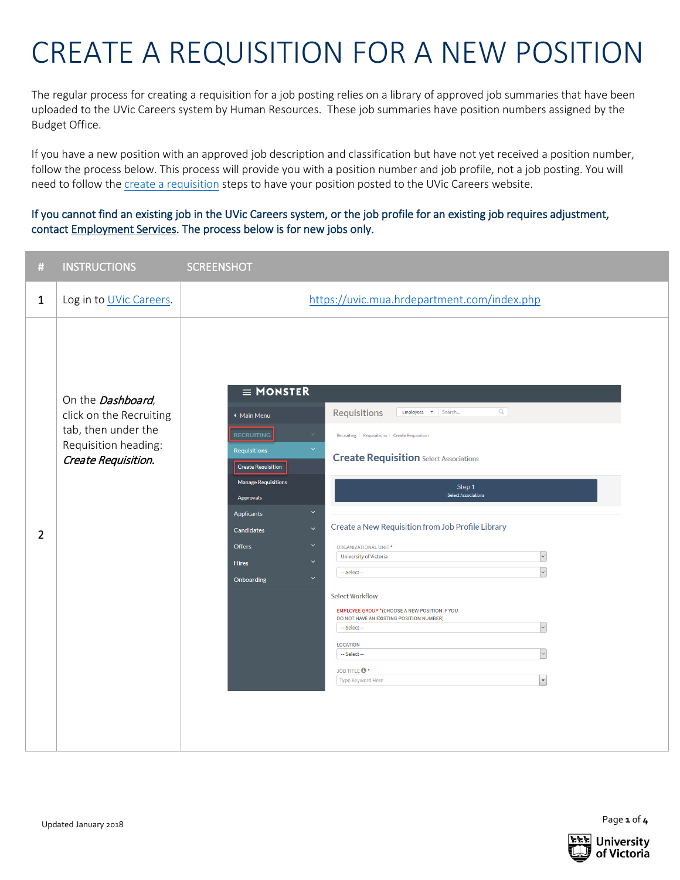## CREATE A REQUISITION FOR A NEW POSITION

The regular process for creating a requisition for a job posting relies on a library of approved job summaries that have been uploaded to the UVic Careers system by Human Resources. These job summaries have position numbers assigned by the Budget Office.

If you have a new position with an approved job description and classification but have not yet received a position number, follow the process below. This process will provide you with a position number and job profile, not a job posting. You will need to follow the [create a requisition](http://www.uvic.ca/hr/assets/docs/ats-uviccareers/uviccareers-create-a-req.pdf) steps to have your position posted to the UVic Careers website.

## If you cannot find an existing job in the UVic Careers system, or the job profile for an existing job requires adjustment, contact [Employment Services.](http://www.uvic.ca/hr/contact/index.php) The process below is for new jobs only.

| #              | <b>INSTRUCTIONS</b>                                                                                                | <b>SCREENSHOT</b>                                                                                                                                                                                                                                                                                                                                                                                                                                                                                                                                                                                                                                                                                                                                                                                                                                                                                                                                                |
|----------------|--------------------------------------------------------------------------------------------------------------------|------------------------------------------------------------------------------------------------------------------------------------------------------------------------------------------------------------------------------------------------------------------------------------------------------------------------------------------------------------------------------------------------------------------------------------------------------------------------------------------------------------------------------------------------------------------------------------------------------------------------------------------------------------------------------------------------------------------------------------------------------------------------------------------------------------------------------------------------------------------------------------------------------------------------------------------------------------------|
| $\mathbf{1}$   | Log in to UVic Careers.                                                                                            | https://uvic.mua.hrdepartment.com/index.php                                                                                                                                                                                                                                                                                                                                                                                                                                                                                                                                                                                                                                                                                                                                                                                                                                                                                                                      |
| $\overline{2}$ | On the Dashboard,<br>click on the Recruiting<br>tab, then under the<br>Requisition heading:<br>Create Requisition. | $\equiv$ MONSTER<br>Requisitions<br>Q<br>Employees $\bullet$ Search<br>◀ Main Menu<br><b>RECRUITING</b><br>Recruiting / Requisitions / Create Requisition<br>$\checkmark$<br><b>Requisitions</b><br><b>Create Requisition</b> Select Associations<br><b>Create Requisition</b><br><b>Manage Requisitions</b><br>Step 1<br><b>Select Associations</b><br>Approvals<br>$\checkmark$<br><b>Applicants</b><br>Create a New Requisition from Job Profile Library<br>$\checkmark$<br>Candidates<br>$\checkmark$<br>Offers<br>ORGANIZATIONAL UNIT <sup>*</sup><br>$\backsim$<br>University of Victoria<br><b>Hires</b><br>$\backsim$<br>-- Select --<br>$\ddotmark$<br>Onboarding<br><b>Select Workflow</b><br>EMPLOYEE GROUP * (CHOOSE A NEW POSITION IF YOU<br>DO NOT HAVE AN EXISTING POSITION NUMBER)<br>$\backsim$<br>-- Select --<br><b>LOCATION</b><br>$\backsim$<br>-- Select --<br><b>JOB TITLE <sup>0</sup>*</b><br>$\blacktriangledown$<br>Type Keyword Here |

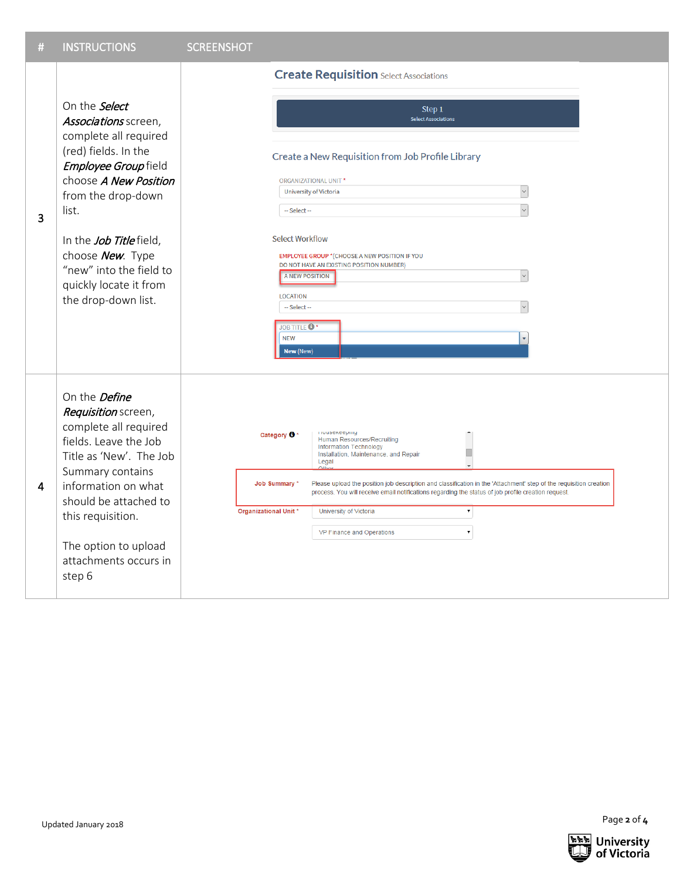| # | <b>INSTRUCTIONS</b>                                                                                                                                                                                        | <b>SCREENSHOT</b>                                                                                                                                                                                                                            |
|---|------------------------------------------------------------------------------------------------------------------------------------------------------------------------------------------------------------|----------------------------------------------------------------------------------------------------------------------------------------------------------------------------------------------------------------------------------------------|
|   |                                                                                                                                                                                                            | <b>Create Requisition Select Associations</b>                                                                                                                                                                                                |
|   | On the Select<br>Associations screen,<br>complete all required<br>(red) fields. In the<br>Employee Group field<br>choose A New Position<br>from the drop-down                                              | Step 1<br><b>Select Associations</b>                                                                                                                                                                                                         |
|   |                                                                                                                                                                                                            | Create a New Requisition from Job Profile Library<br>ORGANIZATIONAL UNIT <sup>*</sup><br>$\backsim$<br>University of Victoria                                                                                                                |
| 3 | list.                                                                                                                                                                                                      | -- Select --                                                                                                                                                                                                                                 |
|   | In the Job Titlefield,<br>choose New. Type<br>"new" into the field to<br>quickly locate it from<br>the drop-down list.                                                                                     | <b>Select Workflow</b><br><b>EMPLOYEE GROUP *</b> (CHOOSE A NEW POSITION IF YOU<br>DO NOT HAVE AN EXISTING POSITION NUMBER)<br><b>A NEW POSITION</b><br><b>LOCATION</b><br>-- Select --<br>JOB TITLE <sup>4</sup><br><b>NEW</b><br>New (New) |
| 4 | On the Define<br>Requisition screen,<br>complete all required<br>fields. Leave the Job<br>Title as 'New'. The Job<br>Summary contains<br>information on what<br>should be attached to<br>this requisition. | <b>Houseneeping</b><br>Category <b>O</b> *<br>Human Resources/Recruiting<br><b>Information Technology</b><br>Installation, Maintenance, and Repair<br>Legal                                                                                  |
|   |                                                                                                                                                                                                            | Job Summary *<br>Please upload the position job description and classification in the 'Attachment' step of the requisition creation<br>process. You will receive email notifications regarding the status of job profile creation request.   |
|   |                                                                                                                                                                                                            | <b>Organizational Unit *</b><br>University of Victoria<br>$\pmb{\mathrm{v}}$<br>VP Finance and Operations<br>$\pmb{\mathrm{v}}$                                                                                                              |
|   | The option to upload<br>attachments occurs in<br>step 6                                                                                                                                                    |                                                                                                                                                                                                                                              |



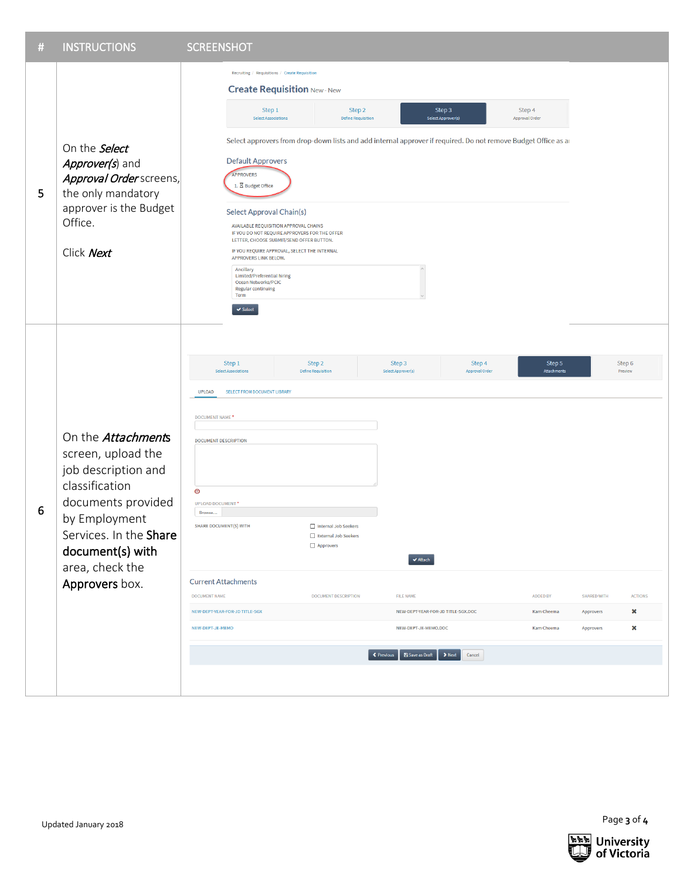| # | <b>INSTRUCTIONS</b>                                                                                                                                                                                                | <b>SCREENSHOT</b>                                                                                                                                                                                                                                                                                                                                                                                                                                                                                                                                                                                                                                                                                                                                                                                                                                                                                                       |
|---|--------------------------------------------------------------------------------------------------------------------------------------------------------------------------------------------------------------------|-------------------------------------------------------------------------------------------------------------------------------------------------------------------------------------------------------------------------------------------------------------------------------------------------------------------------------------------------------------------------------------------------------------------------------------------------------------------------------------------------------------------------------------------------------------------------------------------------------------------------------------------------------------------------------------------------------------------------------------------------------------------------------------------------------------------------------------------------------------------------------------------------------------------------|
| 5 | On the Select<br>Approver(s) and<br>Approval Order screens,<br>the only mandatory<br>approver is the Budget<br>Office.<br>Click Next                                                                               | Recruiting / Requisitions / Create Requisition<br><b>Create Requisition New - New</b><br>Step 1<br>Step 2<br>Step 3<br>Step 4<br><b>Define Requisition</b><br>Select Approver(s)<br><b>Select Associations</b><br>Approval Order<br>Select approvers from drop-down lists and add internal approver if required. Do not remove Budget Office as ar<br>Default Approvers<br>APPROVERS<br>1. $\overline{\mathbf{X}}$ Budget Office<br><b>Select Approval Chain(s)</b><br>AVAILABLE REQUISITION APPROVAL CHAINS<br>IF YOU DO NOT REQUIRE APPROVERS FOR THE OFFER<br>LETTER, CHOOSE SUBMIT/SEND OFFER BUTTON.<br>IF YOU REQUIRE APPROVAL, SELECT THE INTERNAL<br>APPROVERS LINK BELOW.<br>Ancillary<br><b>Limited/Preferential hiring</b><br>Ocean Networks/PCIC<br>Regular continuing<br>Term<br>$\blacktriangleright$ Select                                                                                              |
| 6 | On the <b>Attachments</b><br>screen, upload the<br>job description and<br>classification<br>documents provided<br>by Employment<br>Services. In the Share<br>document(s) with<br>area, check the<br>Approvers box. | Step 1<br>Step 3<br>Step 4<br>Step 5<br>Step 6<br>Step 2<br><b>Select Associations</b><br><b>Define Requisition</b><br>Select Approver(s)<br><b>Approval Order</b><br>Attachments<br>Preview<br><b>UPLOAD</b><br><b>SELECT FROM DOCUMENT LIBRARY</b><br>DOCUMENT NAME <sup>*</sup><br><b>DOCUMENT DESCRIPTION</b><br>$\circ$<br>UPLOAD DOCUMENT*<br>Browse.<br><b>SHARE DOCUMENT(S) WITH</b><br>Internal Job Seekers<br>External Job Seekers<br>Approvers<br>$\blacktriangleright$ Attach<br><b>Current Attachments</b><br><b>DOCUMENT NAME</b><br><b>DOCUMENT DESCRIPTION</b><br><b>FILE NAME</b><br><b>ADDED BY</b><br><b>SHARED WITH</b><br><b>ACTIONS</b><br>NEW-DEPT-YEAR-FOR-JD TITLE-SGX.DOC<br>NEW-DEPT-YEAR-FOR-JD TITLE-SGX<br>Kam Cheema<br>$\pmb{\times}$<br>Approvers<br>NEW-DEPT-JE-MEMO<br>NEW-DEPT-JE-MEMO.DOC<br>Kam Cheema<br>×<br>Approvers<br>Save as Draft<br>$\blacktriangleright$ Next<br>Cancel |